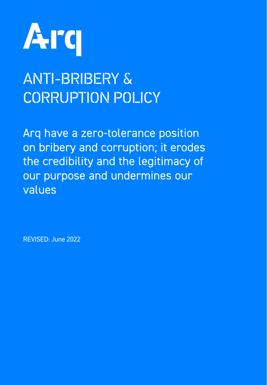

# ANTI-BRIBERY & CORRUPTION POLICY

Arq have a zero-tolerance position on bribery and corruption; it erodes the credibility and the legitimacy of our purpose and undermines our values

REVISED: June 2022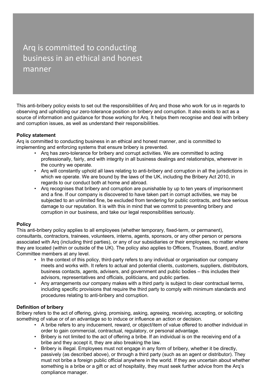# Arq is committed to conducting business in an ethical and honest manner

This anti-bribery policy exists to set out the responsibilities of Arq and those who work for us in regards to observing and upholding our zero-tolerance position on bribery and corruption. It also exists to act as a source of information and guidance for those working for Arq. It helps them recognise and deal with bribery and corruption issues, as well as understand their responsibilities.

# **Policy statement**

Arq is committed to conducting business in an ethical and honest manner, and is committed to implementing and enforcing systems that ensure bribery is prevented.

- Arq has zero-tolerance for bribery and corrupt activities. We are committed to acting professionally, fairly, and with integrity in all business dealings and relationships, wherever in the country we operate.
- Arq will constantly uphold all laws relating to anti-bribery and corruption in all the jurisdictions in which we operate. We are bound by the laws of the UK, including the Bribery Act 2010, in regards to our conduct both at home and abroad.
- Arq recognises that bribery and corruption are punishable by up to ten years of imprisonment and a fine. If our company is discovered to have taken part in corrupt activities, we may be subjected to an unlimited fine, be excluded from tendering for public contracts, and face serious damage to our reputation. It is with this in mind that we commit to preventing bribery and corruption in our business, and take our legal responsibilities seriously.

# **Policy**

This anti-bribery policy applies to all employees (whether temporary, fixed-term, or permanent), consultants, contractors, trainees, volunteers, interns, agents, sponsors, or any other person or persons associated with Arq (including third parties), or any of our subsidiaries or their employees, no matter where they are located (within or outside of the UK). The policy also applies to Officers, Trustees, Board, and/or Committee members at any level.

- In the context of this policy, third-party refers to any individual or organisation our company meets and works with. It refers to actual and potential clients, customers, suppliers, distributors, business contacts, agents, advisers, and government and public bodies – this includes their advisors, representatives and officials, politicians, and public parties.
- Any arrangements our company makes with a third party is subject to clear contractual terms, including specific provisions that require the third party to comply with minimum standards and procedures relating to anti-bribery and corruption.

# **Definition of bribery**

Bribery refers to the act of offering, giving, promising, asking, agreeing, receiving, accepting, or soliciting something of value or of an advantage so to induce or influence an action or decision.

- A bribe refers to any inducement, reward, or object/item of value offered to another individual in order to gain commercial, contractual, regulatory, or personal advantage.
- Bribery is not limited to the act of offering a bribe. If an individual is on the receiving end of a bribe and they accept it, they are also breaking the law.
- Bribery is illegal. Employees must not engage in any form of bribery, whether it be directly, passively (as described above), or through a third party (such as an agent or distributor). They must not bribe a foreign public official anywhere in the world. If they are uncertain about whether something is a bribe or a gift or act of hospitality, they must seek further advice from the Arq's compliance manager.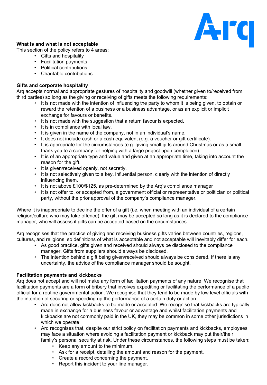

# **What is and what is not acceptable**

This section of the policy refers to 4 areas:

- Gifts and hospitality
- Facilitation payments
- Political contributions
- Charitable contributions.

# **Gifts and corporate hospitality**

Arq accepts normal and appropriate gestures of hospitality and goodwill (whether given to/received from third parties) so long as the giving or receiving of gifts meets the following requirements:

- It is not made with the intention of influencing the party to whom it is being given, to obtain or reward the retention of a business or a business advantage, or as an explicit or implicit exchange for favours or benefits.
- It is not made with the suggestion that a return favour is expected.
- It is in compliance with local law.
- It is given in the name of the company, not in an individual's name.
- It does not include cash or a cash equivalent (e.g. a voucher or gift certificate).
- It is appropriate for the circumstances (e.g. giving small gifts around Christmas or as a small thank you to a company for helping with a large project upon completion).
- It is of an appropriate type and value and given at an appropriate time, taking into account the reason for the gift.
- It is given/received openly, not secretly.
- It is not selectively given to a key, influential person, clearly with the intention of directly influencing them.
- It is not above £100/\$125, as pre-determined by the Arq's compliance manager
- It is not offer to, or accepted from, a government official or representative or politician or political party, without the prior approval of the company's compliance manager.

Where it is inappropriate to decline the offer of a gift (i.e. when meeting with an individual of a certain religion/culture who may take offence), the gift may be accepted so long as it is declared to the compliance manager, who will assess if gifts can be accepted based on the circumstances.

Arq recognises that the practice of giving and receiving business gifts varies between countries, regions, cultures, and religions, so definitions of what is acceptable and not acceptable will inevitably differ for each.

- As good practice, gifts given and received should always be disclosed to the compliance manager. Gifts from suppliers should always be disclosed.
- The intention behind a gift being given/received should always be considered. If there is any uncertainty, the advice of the compliance manager should be sought.

# **Facilitation payments and kickbacks**

Arq does not accept and will not make any form of facilitation payments of any nature. We recognise that facilitation payments are a form of bribery that involves expediting or facilitating the performance of a public official for a routine governmental action. We recognise that they tend to be made by low level officials with the intention of securing or speeding up the performance of a certain duty or action.

- Arq does not allow kickbacks to be made or accepted. We recognise that kickbacks are typically made in exchange for a business favour or advantage and whilst facilitation payments and kickbacks are not commonly paid in the UK, they may be common in some other jurisdictions in which we operate.
- Arq recognises that, despite our strict policy on facilitation payments and kickbacks, employees may face a situation where avoiding a facilitation payment or kickback may put their/their family's personal security at risk. Under these circumstances, the following steps must be taken:
	- Keep any amount to the minimum.
	- Ask for a receipt, detailing the amount and reason for the payment.
	- Create a record concerning the payment.
	- Report this incident to your line manager.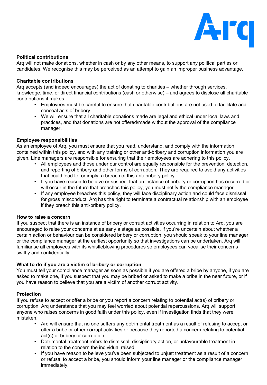

### **Political contributions**

Arq will not make donations, whether in cash or by any other means, to support any political parties or candidates. We recognise this may be perceived as an attempt to gain an improper business advantage.

#### **Charitable contributions**

Arq accepts (and indeed encourages) the act of donating to charities – whether through services, knowledge, time, or direct financial contributions (cash or otherwise) – and agrees to disclose all charitable contributions it makes.

- Employees must be careful to ensure that charitable contributions are not used to facilitate and conceal acts of bribery.
- We will ensure that all charitable donations made are legal and ethical under local laws and practices, and that donations are not offered/made without the approval of the compliance manager.

#### **Employee responsibilities**

As an employee of Arq, you must ensure that you read, understand, and comply with the information contained within this policy, and with any training or other anti-bribery and corruption information you are given. Line managers are responsible for ensuring that their employees are adhering to this policy.

- All employees and those under our control are equally responsible for the prevention, detection, and reporting of bribery and other forms of corruption. They are required to avoid any activities that could lead to, or imply, a breach of this anti-bribery policy.
- If you have reason to believe or suspect that an instance of bribery or corruption has occurred or will occur in the future that breaches this policy, you must notify the compliance manager.
- If any employee breaches this policy, they will face disciplinary action and could face dismissal for gross misconduct. Arq has the right to terminate a contractual relationship with an employee if they breach this anti-bribery policy.

#### **How to raise a concern**

If you suspect that there is an instance of bribery or corrupt activities occurring in relation to Arq, you are encouraged to raise your concerns at as early a stage as possible. If you're uncertain about whether a certain action or behaviour can be considered bribery or corruption, you should speak to your line manager or the compliance manager at the earliest opportunity so that investigations can be undertaken. Arq will familiarise all employees with its whistleblowing procedures so employees can vocalise their concerns swiftly and confidentially.

#### **What to do if you are a victim of bribery or corruption**

You must tell your compliance manager as soon as possible if you are offered a bribe by anyone, if you are asked to make one, if you suspect that you may be bribed or asked to make a bribe in the near future, or if you have reason to believe that you are a victim of another corrupt activity.

# **Protection**

If you refuse to accept or offer a bribe or you report a concern relating to potential act(s) of bribery or corruption, Arq understands that you may feel worried about potential repercussions. Arq will support anyone who raises concerns in good faith under this policy, even if investigation finds that they were mistaken.

- Arq will ensure that no one suffers any detrimental treatment as a result of refusing to accept or offer a bribe or other corrupt activities or because they reported a concern relating to potential act(s) of bribery or corruption.
- Detrimental treatment refers to dismissal, disciplinary action, or unfavourable treatment in relation to the concern the individual raised.
- If you have reason to believe you've been subjected to unjust treatment as a result of a concern or refusal to accept a bribe, you should inform your line manager or the compliance manager immediately.